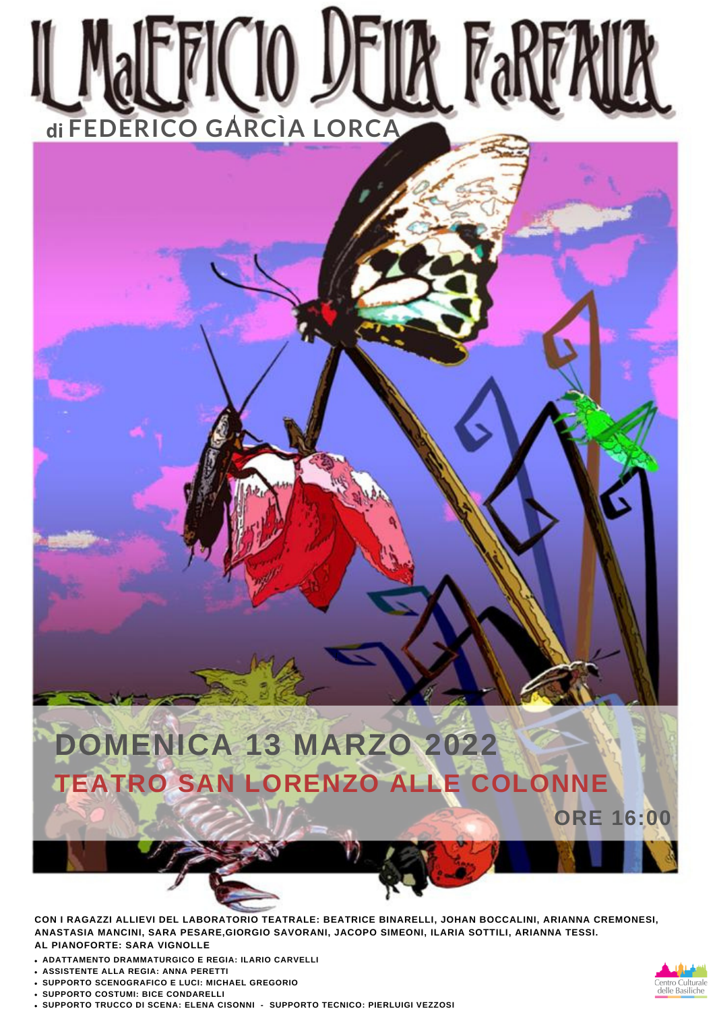## **DOMENICA 13 MARZO 2022 TEATRO SAN LORENZO ALLE COLONNE**



**ORE 16:00**

## **FEDERICO GARCÌA LORCA** *!* **di**

**CON I RAGAZZI ALLIEVI DEL LABORATORIO TEATRALE: BEATRICE BINARELLI, JOHAN BOCCALINI, ARIANNA CREMONESI, ANASTASIA MANCINI, SARA PESARE,GIORGIO SAVORANI, JACOPO SIMEONI, ILARIA SOTTILI, ARIANNA TESSI. AL PIANOFORTE: SARA VIGNOLLE**

- **ADATTAMENTO DRAMMATURGICO E REGIA: ILARIO CARVELLI**
- **ASSISTENTE ALLA REGIA: ANNA PERETTI**
- **SUPPORTO SCENOGRAFICO E LUCI: MICHAEL GREGORIO**
- **SUPPORTO COSTUMI: BICE CONDARELLI**
- **SUPPORTO TRUCCO DI SCENA: ELENA CISONNI - SUPPORTO TECNICO: PIERLUIGI VEZZOSI**